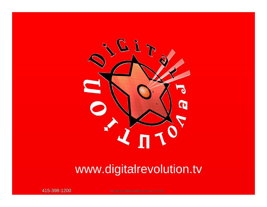

## www.digitalrevolution.tv

415-398-1200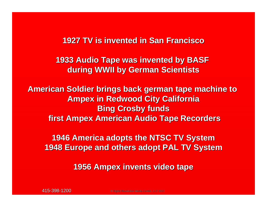## **1927 TV is invented in San Francisco 1927 TV is invented in San Francisco**

**1933 Audio Tape was invented by BASF during WWII by German Scientists during WWII by German Scientists**

**American Soldier brings back german tape machine to Ampex in Redwood City California in Redwood City California Bing Crosby funds first Ampex American Audio Tape Recorders** 

**1946 America adopts the NTSC TV System 1946 America adopts the NTSC TV System 1948 Europe and others adopt PAL TV System 1948 Europe and others adopt PAL TV System**

**1956 Ampex invents video tape invents video tape**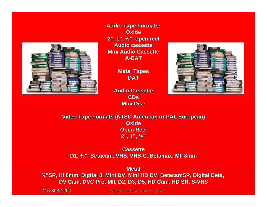

**Audio Tape Formats: Audio Tape Formats: Oxide2", 1", ½", open reel , open reel Audio cassette Audio cassetteMini Audio Cassette Mini Audio CassetteA-DAT**

> **Metal Tapes DAT**



**Audio Cassette Audio CassetteCDsMini Disc Mini Disc**

## **Video Tape Formats (NTSC American or PAL European) Oxide Open Reel Open Reel 2", 1", ½"**

**Cassette CassetteD1, ¾", Betacam, VHS, VHS , VHS, VHS-C, Betamax Betamax, MI, 8mm**

**Metal**

 $\frac{3}{4}$ "SP, Hi 8mm, Digital 8, Mini DV, Mini HD DV, BetacamSP, Digital Beta, **DV Cam, DVC Pro, MII, D2, D3, D5, HD Cam, HD SR, S-VHS** 

415-398-1200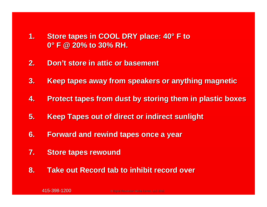- **1.Store tapes in COOL DRY place: 40° F to 0° F @ 20% to 30% RH. F @ 20% to 30% RH.**
- **2.Don't store in attic or basement t store in attic or basement**
- **3. Keep tapes away from speakers or anything magnetic Keep tapes away from speakers or anything magnetic**
- **4.Protect tapes from dust by storing them in plastic boxes**
- **5. Keep Tapes out of direct or indirect sunlight Keep Tapes out of direct or indirect sunlight**
- **6.** Forward and rewind tapes once a year
- **7.Store tapes rewound Store tapes rewound**
- **8. Take out Record tab to inhibit record over**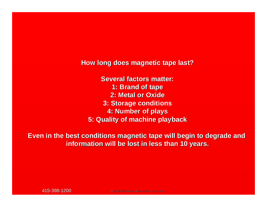**How long does magnetic tape last? How long does magnetic tape last?**

**Several factors matter: 1: Brand of tape 1: Brand of tape 2: Metal or Oxide 2: Metal or Oxide3: Storage conditions 3: Storage conditions 4: Number of plays 4: Number of plays 5: Quality of machine playback 5: Quality of machine playback**

**Even in the best conditions magnetic tape will begin to degrade and information will be lost in less than 10 years.**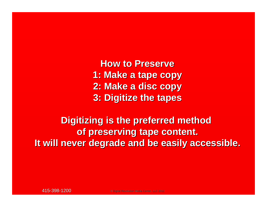**How to Preserve How to Preserve1: Make a tape copy 1: Make a tape copy 2: Make a disc copy 2: Make a disc copy 3: Digitize the tapes 3: Digitize the tapes**

**Digitizing is the preferred method of preserving tape content. of preserving tape content. It will never degrade and be easily accessible. It will never degrade and be easily accessible.**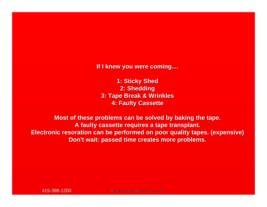**If I knew you were coming.... If I knew you were coming....**

**1: Sticky Shed 1: Sticky Shed 2: Shedding 2: Shedding 3: Tape Break & Wrinkles 3: Tape Break & Wrinkles 4: Faulty Cassette 4: Faulty Cassette**

**Most of these problems can be solved by baking the tape. A faulty cassette requires a tape transplant. A faulty cassette requires a tape transplant. Electronic Electronic resoration resoration can be performed on poor quality tapes. (expensive) can be performed on poor quality tapes. (expensive) Don't wait: passed time creates more problems. Don't wait: passed time creates more problems.**